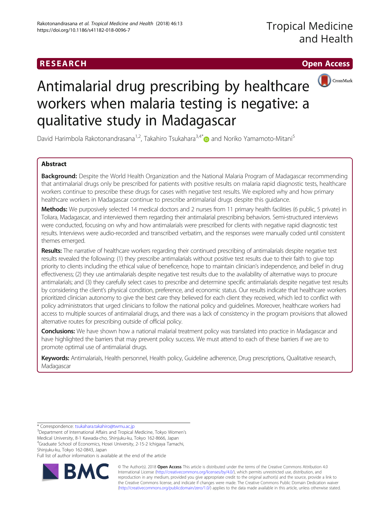# RESEARCH **RESEARCH CHOOSE INTERNATIONAL CONTRACT CONTRACT CONTRACT CONTRACT CONTRACT CONTRACT CONTRACT CONTRACT CONTRACT CONTRACT CONTRACT CONTRACT CONTRACT CONTRACT CONTRACT CONTRACT CONTRACT CONTRACT CONTRACT CONTRACT**



# Antimalarial drug prescribing by healthcare workers when malaria testing is negative: a qualitative study in Madagascar

David Harimbola Rakotonandrasana<sup>1,2</sup>, Takahiro Tsukahara<sup>3,4\*</sup> $\bullet$  and Noriko Yamamoto-Mitani<sup>5</sup>

# Abstract

Background: Despite the World Health Organization and the National Malaria Program of Madagascar recommending that antimalarial drugs only be prescribed for patients with positive results on malaria rapid diagnostic tests, healthcare workers continue to prescribe these drugs for cases with negative test results. We explored why and how primary healthcare workers in Madagascar continue to prescribe antimalarial drugs despite this guidance.

Methods: We purposively selected 14 medical doctors and 2 nurses from 11 primary health facilities (6 public, 5 private) in Toliara, Madagascar, and interviewed them regarding their antimalarial prescribing behaviors. Semi-structured interviews were conducted, focusing on why and how antimalarials were prescribed for clients with negative rapid diagnostic test results. Interviews were audio-recorded and transcribed verbatim, and the responses were manually coded until consistent themes emerged.

Results: The narrative of healthcare workers regarding their continued prescribing of antimalarials despite negative test results revealed the following: (1) they prescribe antimalarials without positive test results due to their faith to give top priority to clients including the ethical value of beneficence, hope to maintain clinician's independence, and belief in drug effectiveness; (2) they use antimalarials despite negative test results due to the availability of alternative ways to procure antimalarials; and (3) they carefully select cases to prescribe and determine specific antimalarials despite negative test results by considering the client's physical condition, preference, and economic status. Our results indicate that healthcare workers prioritized clinician autonomy to give the best care they believed for each client they received, which led to conflict with policy administrators that urged clinicians to follow the national policy and guidelines. Moreover, healthcare workers had access to multiple sources of antimalarial drugs, and there was a lack of consistency in the program provisions that allowed alternative routes for prescribing outside of official policy.

**Conclusions:** We have shown how a national malarial treatment policy was translated into practice in Madagascar and have highlighted the barriers that may prevent policy success. We must attend to each of these barriers if we are to promote optimal use of antimalarial drugs.

Keywords: Antimalarials, Health personnel, Health policy, Guideline adherence, Drug prescriptions, Qualitative research, Madagascar

\* Correspondence: [tsukahara.takahiro@twmu.ac.jp](mailto:tsukahara.takahiro@twmu.ac.jp) <sup>3</sup>

<sup>3</sup>Department of International Affairs and Tropical Medicine, Tokyo Women's Medical University, 8-1 Kawada-cho, Shinjuku-ku, Tokyo 162-8666, Japan 4 Graduate School of Economics, Hosei University, 2-15-2 Ichigaya Tamachi, Shinjuku-ku, Tokyo 162-0843, Japan

Full list of author information is available at the end of the article



© The Author(s). 2018 Open Access This article is distributed under the terms of the Creative Commons Attribution 4.0 International License [\(http://creativecommons.org/licenses/by/4.0/](http://creativecommons.org/licenses/by/4.0/)), which permits unrestricted use, distribution, and reproduction in any medium, provided you give appropriate credit to the original author(s) and the source, provide a link to the Creative Commons license, and indicate if changes were made. The Creative Commons Public Domain Dedication waiver [\(http://creativecommons.org/publicdomain/zero/1.0/](http://creativecommons.org/publicdomain/zero/1.0/)) applies to the data made available in this article, unless otherwise stated.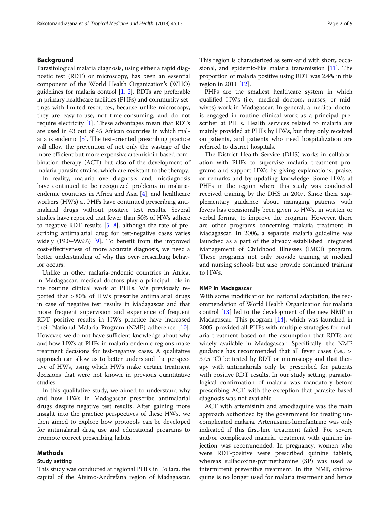# Background

Parasitological malaria diagnosis, using either a rapid diagnostic test (RDT) or microscopy, has been an essential component of the World Health Organization's (WHO) guidelines for malaria control [\[1](#page-8-0), [2\]](#page-8-0). RDTs are preferable in primary healthcare facilities (PHFs) and community settings with limited resources, because unlike microscopy, they are easy-to-use, not time-consuming, and do not require electricity [[1](#page-8-0)]. These advantages mean that RDTs are used in 43 out of 45 African countries in which malaria is endemic [[3](#page-8-0)]. The test-oriented prescribing practice will allow the prevention of not only the wastage of the more efficient but more expensive artemisinin-based combination therapy (ACT) but also of the development of malaria parasite strains, which are resistant to the therapy.

In reality, malaria over-diagnosis and misdiagnosis have continued to be recognized problems in malariaendemic countries in Africa and Asia [[4\]](#page-8-0), and healthcare workers (HWs) at PHFs have continued prescribing antimalarial drugs without positive test results. Several studies have reported that fewer than 50% of HWs adhere to negative RDT results  $[5-8]$  $[5-8]$  $[5-8]$ , although the rate of prescribing antimalarial drug for test-negative cases varies widely (19.0–99.9%) [[9\]](#page-8-0). To benefit from the improved cost-effectiveness of more accurate diagnosis, we need a better understanding of why this over-prescribing behavior occurs.

Unlike in other malaria-endemic countries in Africa, in Madagascar, medical doctors play a principal role in the routine clinical work at PHFs. We previously reported that > 80% of HWs prescribe antimalarial drugs in case of negative test results in Madagascar and that more frequent supervision and experience of frequent RDT positive results in HWs practice have increased their National Malaria Program (NMP) adherence [\[10](#page-8-0)]. However, we do not have sufficient knowledge about why and how HWs at PHFs in malaria-endemic regions make treatment decisions for test-negative cases. A qualitative approach can allow us to better understand the perspective of HWs, using which HWs make certain treatment decisions that were not known in previous quantitative studies.

In this qualitative study, we aimed to understand why and how HWs in Madagascar prescribe antimalarial drugs despite negative test results. After gaining more insight into the practice perspectives of these HWs, we then aimed to explore how protocols can be developed for antimalarial drug use and educational programs to promote correct prescribing habits.

# Methods

# Study setting

This study was conducted at regional PHFs in Toliara, the capital of the Atsimo-Andrefana region of Madagascar. This region is characterized as semi-arid with short, occasional, and epidemic-like malaria transmission [\[11](#page-8-0)]. The proportion of malaria positive using RDT was 2.4% in this region in 2011 [\[12\]](#page-8-0).

PHFs are the smallest healthcare system in which qualified HWs (i.e., medical doctors, nurses, or midwives) work in Madagascar. In general, a medical doctor is engaged in routine clinical work as a principal prescriber at PHFs. Health services related to malaria are mainly provided at PHFs by HWs, but they only received outpatients, and patients who need hospitalization are referred to district hospitals.

The District Health Service (DHS) works in collaboration with PHFs to supervise malaria treatment programs and support HWs by giving explanations, praise, or remarks and by updating knowledge. Some HWs at PHFs in the region where this study was conducted received training by the DHS in 2007. Since then, supplementary guidance about managing patients with fevers has occasionally been given to HWs, in written or verbal format, to improve the program. However, there are other programs concerning malaria treatment in Madagascar. In 2006, a separate malaria guideline was launched as a part of the already established Integrated Management of Childhood Illnesses (IMCI) program. These programs not only provide training at medical and nursing schools but also provide continued training to HWs.

#### NMP in Madagascar

With some modification for national adaptation, the recommendation of World Health Organization for malaria control [[13\]](#page-8-0) led to the development of the new NMP in Madagascar. This program  $[14]$  $[14]$ , which was launched in 2005, provided all PHFs with multiple strategies for malaria treatment based on the assumption that RDTs are widely available in Madagascar. Specifically, the NMP guidance has recommended that all fever cases (i.e., > 37.5 °C) be tested by RDT or microscopy and that therapy with antimalarials only be prescribed for patients with positive RDT results. In our study setting, parasitological confirmation of malaria was mandatory before prescribing ACT, with the exception that parasite-based diagnosis was not available.

ACT with artemisinin and amodiaquine was the main approach authorized by the government for treating uncomplicated malaria. Artemisinin-lumefantrine was only indicated if this first-line treatment failed. For severe and/or complicated malaria, treatment with quinine injection was recommended. In pregnancy, women who were RDT-positive were prescribed quinine tablets, whereas sulfadoxine-pyrimethamine (SP) was used as intermittent preventive treatment. In the NMP, chloroquine is no longer used for malaria treatment and hence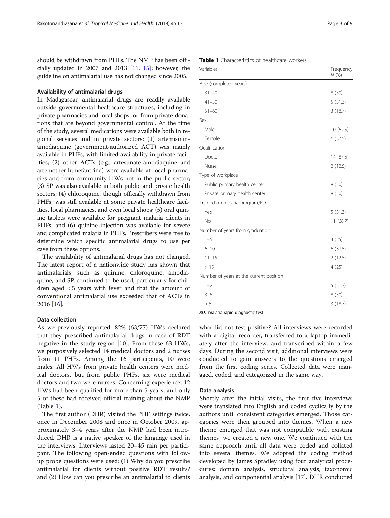should be withdrawn from PHFs. The NMP has been officially updated in 2007 and 2013  $[11, 15]$  $[11, 15]$  $[11, 15]$  $[11, 15]$ ; however, the guideline on antimalarial use has not changed since 2005.

# Availability of antimalarial drugs

In Madagascar, antimalarial drugs are readily available outside governmental healthcare structures, including in private pharmacies and local shops, or from private donations that are beyond governmental control. At the time of the study, several medications were available both in regional services and in private sectors: (1) artemisininamodiaquine (government-authorized ACT) was mainly available in PHFs, with limited availability in private facilities; (2) other ACTs (e.g., artesunate-amodiaquine and artemether-lumefantrine) were available at local pharmacies and from community HWs not in the public sector; (3) SP was also available in both public and private health sectors; (4) chloroquine, though officially withdrawn from PHFs, was still available at some private healthcare facilities, local pharmacies, and even local shops; (5) oral quinine tablets were available for pregnant malaria clients in PHFs; and (6) quinine injection was available for severe and complicated malaria in PHFs. Prescribers were free to determine which specific antimalarial drugs to use per case from these options.

The availability of antimalarial drugs has not changed. The latest report of a nationwide study has shown that antimalarials, such as quinine, chloroquine, amodiaquine, and SP, continued to be used, particularly for children aged < 5 years with fever and that the amount of conventional antimalarial use exceeded that of ACTs in 2016 [\[16](#page-8-0)].

# Data collection

As we previously reported, 82% (63/77) HWs declared that they prescribed antimalarial drugs in case of RDT negative in the study region [\[10](#page-8-0)]. From these 63 HWs, we purposively selected 14 medical doctors and 2 nurses from 11 PHFs. Among the 16 participants, 10 were males. All HWs from private health centers were medical doctors, but from public PHFs, six were medical doctors and two were nurses. Concerning experience, 12 HWs had been qualified for more than 5 years, and only 5 of these had received official training about the NMP (Table 1).

The first author (DHR) visited the PHF settings twice, once in December 2008 and once in October 2009, approximately 3–4 years after the NMP had been introduced. DHR is a native speaker of the language used in the interviews. Interviews lasted 20–45 min per participant. The following open-ended questions with followup probe questions were used: (1) Why do you prescribe antimalarial for clients without positive RDT results? and (2) How can you prescribe an antimalarial to clients

| Page 3 | C<br>' of ⊹ |
|--------|-------------|
|--------|-------------|

| <b>Table 1</b> Characteristics of healthcare workers |  |
|------------------------------------------------------|--|
|------------------------------------------------------|--|

| Variables                               | Frequency<br>N (%) |
|-----------------------------------------|--------------------|
| Age (completed years)                   |                    |
| $31 - 40$                               | 8(50)              |
| $41 - 50$                               | 5(31.3)            |
| $51 - 60$                               | 3(18.7)            |
| Sex                                     |                    |
| Male                                    | 10(62.5)           |
| Female                                  | 6(37.5)            |
| Qualification                           |                    |
| Doctor                                  | 14 (87.5)          |
| Nurse                                   | 2(12.5)            |
| Type of workplace                       |                    |
| Public primary health center            | 8(50)              |
| Private primary health center           | 8(50)              |
| Trained on malaria program/RDT          |                    |
| Yes                                     | 5(31.3)            |
| No                                      | 11(68.7)           |
| Number of years from graduation         |                    |
| $1 - 5$                                 | 4(25)              |
| $6 - 10$                                | 6(37.5)            |
| $11 - 15$                               | 2(12.5)            |
| >15                                     | 4(25)              |
| Number of years at the current position |                    |
| $1 - 2$                                 | 5(31.3)            |
| $3 - 5$                                 | 8(50)              |
| > 5                                     | 3(18.7)            |

RDT malaria rapid diagnostic test

who did not test positive? All interviews were recorded with a digital recorder, transferred to a laptop immediately after the interview, and transcribed within a few days. During the second visit, additional interviews were conducted to gain answers to the questions emerged from the first coding series. Collected data were managed, coded, and categorized in the same way.

#### Data analysis

Shortly after the initial visits, the first five interviews were translated into English and coded cyclically by the authors until consistent categories emerged. Those categories were then grouped into themes. When a new theme emerged that was not compatible with existing themes, we created a new one. We continued with the same approach until all data were coded and collated into several themes. We adopted the coding method developed by James Spradley using four analytical procedures: domain analysis, structural analysis, taxonomic analysis, and componential analysis [[17](#page-8-0)]. DHR conducted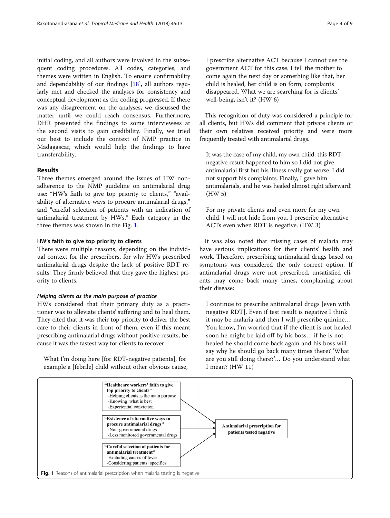initial coding, and all authors were involved in the subsequent coding procedures. All codes, categories, and themes were written in English. To ensure confirmability and dependability of our findings [\[18](#page-8-0)], all authors regularly met and checked the analyses for consistency and conceptual development as the coding progressed. If there was any disagreement on the analyses, we discussed the matter until we could reach consensus. Furthermore, DHR presented the findings to some interviewees at the second visits to gain credibility. Finally, we tried our best to include the context of NMP practice in Madagascar, which would help the findings to have transferability.

# Results

Three themes emerged around the issues of HW nonadherence to the NMP guideline on antimalarial drug use: "HW's faith to give top priority to clients," "availability of alternative ways to procure antimalarial drugs," and "careful selection of patients with an indication of antimalarial treatment by HWs." Each category in the three themes was shown in the Fig. 1.

## HW's faith to give top priority to clients

There were multiple reasons, depending on the individual context for the prescribers, for why HWs prescribed antimalarial drugs despite the lack of positive RDT results. They firmly believed that they gave the highest priority to clients.

# Helping clients as the main purpose of practice

HWs considered that their primary duty as a practitioner was to alleviate clients' suffering and to heal them. They cited that it was their top priority to deliver the best care to their clients in front of them, even if this meant prescribing antimalarial drugs without positive results, because it was the fastest way for clients to recover.

What I'm doing here [for RDT-negative patients], for example a [febrile] child without other obvious cause, I prescribe alternative ACT because I cannot use the government ACT for this case. I tell the mother to come again the next day or something like that, her child is healed, her child is on form, complaints disappeared. What we are searching for is clients' well-being, isn't it? (HW 6)

This recognition of duty was considered a principle for all clients, but HWs did comment that private clients or their own relatives received priority and were more frequently treated with antimalarial drugs.

It was the case of my child, my own child, this RDTnegative result happened to him so I did not give antimalarial first but his illness really got worse. I did not support his complaints. Finally, I gave him antimalarials, and he was healed almost right afterward! (HW 5)

For my private clients and even more for my own child, I will not hide from you, I prescribe alternative ACTs even when RDT is negative. (HW 3)

It was also noted that missing cases of malaria may have serious implications for their clients' health and work. Therefore, prescribing antimalarial drugs based on symptoms was considered the only correct option. If antimalarial drugs were not prescribed, unsatisfied clients may come back many times, complaining about their disease:

I continue to prescribe antimalarial drugs [even with negative RDT]. Even if test result is negative I think it may be malaria and then I will prescribe quinine… You know, I'm worried that if the client is not healed soon he might be laid off by his boss… if he is not healed he should come back again and his boss will say why he should go back many times there? 'What are you still doing there?'… Do you understand what I mean? (HW 11)

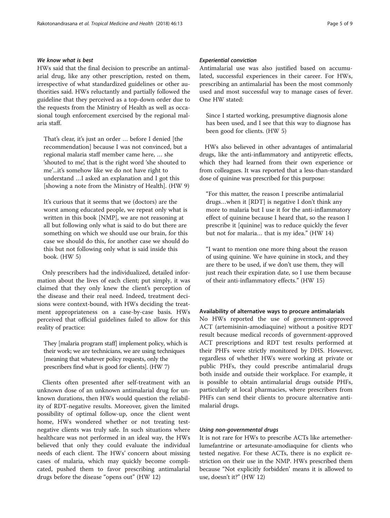# We know what is best

HWs said that the final decision to prescribe an antimalarial drug, like any other prescription, rested on them, irrespective of what standardized guidelines or other authorities said. HWs reluctantly and partially followed the guideline that they perceived as a top-down order due to the requests from the Ministry of Health as well as occasional tough enforcement exercised by the regional malaria staff.

That's clear, it's just an order … before I denied [the recommendation] because I was not convinced, but a regional malaria staff member came here, … she 'shouted to me', that is the right word 'she shouted to me'...it's somehow like we do not have right to understand …I asked an explanation and I got this [showing a note from the Ministry of Health]. (HW 9)

It's curious that it seems that we (doctors) are the worst among educated people, we repeat only what is written in this book [NMP], we are not reasoning at all but following only what is said to do but there are something on which we should use our brain, for this case we should do this, for another case we should do this but not following only what is said inside this book. (HW 5)

Only prescribers had the individualized, detailed information about the lives of each client; put simply, it was claimed that they only knew the client's perception of the disease and their real need. Indeed, treatment decisions were context-bound, with HWs deciding the treatment appropriateness on a case-by-case basis. HWs perceived that official guidelines failed to allow for this reality of practice:

They [malaria program staff] implement policy, which is their work; we are technicians, we are using techniques [meaning that whatever policy requests, only the prescribers find what is good for clients]. (HW 7)

Clients often presented after self-treatment with an unknown dose of an unknown antimalarial drug for unknown durations, then HWs would question the reliability of RDT-negative results. Moreover, given the limited possibility of optimal follow-up, once the client went home, HWs wondered whether or not treating testnegative clients was truly safe. In such situations where healthcare was not performed in an ideal way, the HWs believed that only they could evaluate the individual needs of each client. The HWs' concern about missing cases of malaria, which may quickly become complicated, pushed them to favor prescribing antimalarial drugs before the disease "opens out" (HW 12)

# Experiential conviction

Antimalarial use was also justified based on accumulated, successful experiences in their career. For HWs, prescribing an antimalarial has been the most commonly used and most successful way to manage cases of fever. One HW stated:

Since I started working, presumptive diagnosis alone has been used, and I see that this way to diagnose has been good for clients. (HW 5)

HWs also believed in other advantages of antimalarial drugs, like the anti-inflammatory and antipyretic effects, which they had learned from their own experience or from colleagues. It was reported that a less-than-standard dose of quinine was prescribed for this purpose:

"For this matter, the reason I prescribe antimalarial drugs…when it [RDT] is negative I don't think any more to malaria but I use it for the anti-inflammatory effect of quinine because I heard that, so the reason I prescribe it [quinine] was to reduce quickly the fever but not for malaria… that is my idea." (HW 14)

"I want to mention one more thing about the reason of using quinine. We have quinine in stock, and they are there to be used, if we don't use them, they will just reach their expiration date, so I use them because of their anti-inflammatory effects." (HW 15)

# Availability of alternative ways to procure antimalarials

No HWs reported the use of government-approved ACT (artemisinin-amodiaquine) without a positive RDT result because medical records of government-approved ACT prescriptions and RDT test results performed at their PHFs were strictly monitored by DHS. However, regardless of whether HWs were working at private or public PHFs, they could prescribe antimalarial drugs both inside and outside their workplace. For example, it is possible to obtain antimalarial drugs outside PHFs, particularly at local pharmacies, where prescribers from PHFs can send their clients to procure alternative antimalarial drugs.

#### Using non-governmental drugs

It is not rare for HWs to prescribe ACTs like artemetherlumefantrine or artesunate-amodiaquine for clients who tested negative. For these ACTs, there is no explicit restriction on their use in the NMP. HWs prescribed them because "Not explicitly forbidden' means it is allowed to use, doesn't it?" (HW 12)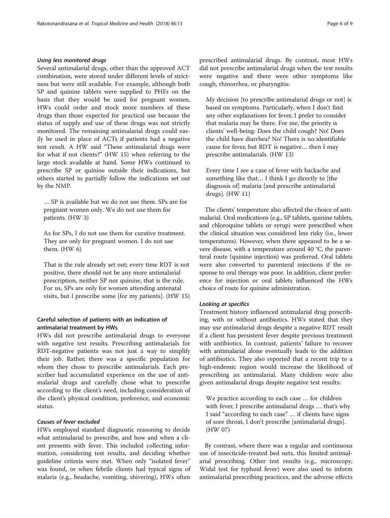# Using less monitored drugs

Several antimalarial drugs, other than the approved ACT combination, were stored under different levels of strictness but were still available. For example, although both SP and quinine tablets were supplied to PHFs on the basis that they would be used for pregnant women, HWs could order and stock more numbers of these drugs than those expected for practical use because the status of supply and use of these drugs was not strictly monitored. The remaining antimalarial drugs could easily be used in place of ACTs if patients had a negative test result. A HW said "These antimalarial drugs were for what if not clients?" (HW 15) when referring to the large stock available at hand. Some HWs continued to prescribe SP or quinine outside their indications, but others started to partially follow the indications set out by the NMP.

… SP is available but we do not use them. SPs are for pregnant women only. We do not use them for patients. (HW 3)

As for SPs, I do not use them for curative treatment. They are only for pregnant women. I do not use them. (HW 6)

That is the rule already set out; every time RDT is not positive, there should not be any more antimalarial prescription, neither SP nor quinine, that is the rule. For us, SPs are only for women attending antenatal visits, but I prescribe some [for my patients]. (HW 15)

# Careful selection of patients with an indication of antimalarial treatment by HWs

HWs did not prescribe antimalarial drugs to everyone with negative test results. Prescribing antimalarials for RDT-negative patients was not just a way to simplify their job. Rather, there was a specific population for whom they chose to prescribe antimalarials. Each prescriber had accumulated experience on the use of antimalarial drugs and carefully chose what to prescribe according to the client's need, including consideration of the client's physical condition, preference, and economic status.

# Causes of fever excluded

HWs employed standard diagnostic reasoning to decide what antimalarial to prescribe, and how and when a client presents with fever. This included collecting information, considering test results, and deciding whether guideline criteria were met. When only "isolated fever" was found, or when febrile clients had typical signs of malaria (e.g., headache, vomiting, shivering), HWs often prescribed antimalarial drugs. By contrast, most HWs did not prescribe antimalarial drugs when the test results were negative and there were other symptoms like cough, rhinorrhea, or pharyngitis:

My decision [to prescribe antimalarial drugs or not] is based on symptoms. Particularly, when I don't find any other explanations for fever, I prefer to consider that malaria may be there. For me, the priority is clients' well-being: Does the child cough? No! Does the child have diarrhea? No! There is no identifiable cause for fever, but RDT is negative… then I may prescribe antimalarials. (HW 13)

Every time I see a case of fever with backache and something like that… I think I go directly to [the diagnosis of] malaria [and prescribe antimalarial drugs]. (HW 11)

The clients' temperature also affected the choice of antimalarial. Oral medications (e.g., SP tablets, quinine tablets, and chloroquine tablets or syrup) were prescribed when the clinical situation was considered less risky (i.e., lower temperatures). However, when there appeared to be a severe disease, with a temperature around 40 °C, the parenteral route (quinine injection) was preferred. Oral tablets were also converted to parenteral injections if the response to oral therapy was poor. In addition, client preference for injection or oral tablets influenced the HWs choice of route for quinine administration.

## Looking at specifics

Treatment history influenced antimalarial drug prescribing, with or without antibiotics. HWs stated that they may use antimalarial drugs despite a negative RDT result if a client has persistent fever despite previous treatment with antibiotics. In contrast, patients' failure to recover with antimalarial alone eventually leads to the addition of antibiotics. They also reported that a recent trip to a high-endemic region would increase the likelihood of prescribing an antimalarial. Many children were also given antimalarial drugs despite negative test results:

We practice according to each case … for children with fever, I prescribe antimalarial drugs … that's why I said "according to each case" … if clients have signs of sore throat, I don't prescribe [antimalarial drugs]. (HW 07)

By contrast, where there was a regular and continuous use of insecticide-treated bed nets, this limited antimalarial prescribing. Other test results (e.g., microscopy, Widal test for typhoid fever) were also used to inform antimalarial prescribing practices, and the adverse effects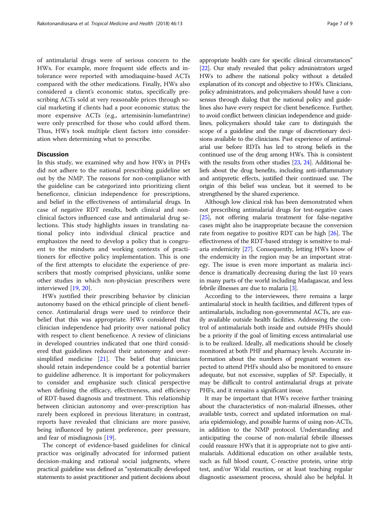of antimalarial drugs were of serious concern to the HWs. For example, more frequent side effects and intolerance were reported with amodiaquine-based ACTs compared with the other medications. Finally, HWs also considered a client's economic status, specifically prescribing ACTs sold at very reasonable prices through social marketing if clients had a poor economic status; the more expensive ACTs (e.g., artemisinin-lumefantrine) were only prescribed for those who could afford them. Thus, HWs took multiple client factors into consideration when determining what to prescribe.

#### **Discussion**

In this study, we examined why and how HWs in PHFs did not adhere to the national prescribing guideline set out by the NMP. The reasons for non-compliance with the guideline can be categorized into prioritizing client beneficence, clinician independence for prescriptions, and belief in the effectiveness of antimalarial drugs. In case of negative RDT results, both clinical and nonclinical factors influenced case and antimalarial drug selections. This study highlights issues in translating national policy into individual clinical practice and emphasizes the need to develop a policy that is congruent to the mindsets and working contexts of practitioners for effective policy implementation. This is one of the first attempts to elucidate the experience of prescribers that mostly comprised physicians, unlike some other studies in which non-physician prescribers were interviewed [\[19](#page-8-0), [20\]](#page-8-0).

HWs justified their prescribing behavior by clinician autonomy based on the ethical principle of client beneficence. Antimalarial drugs were used to reinforce their belief that this was appropriate. HWs considered that clinician independence had priority over national policy with respect to client beneficence. A review of clinicians in developed countries indicated that one third considered that guidelines reduced their autonomy and oversimplified medicine  $[21]$  $[21]$ . The belief that clinicians should retain independence could be a potential barrier to guideline adherence. It is important for policymakers to consider and emphasize such clinical perspective when defining the efficacy, effectiveness, and efficiency of RDT-based diagnosis and treatment. This relationship between clinician autonomy and over-prescription has rarely been explored in previous literature; in contrast, reports have revealed that clinicians are more passive, being influenced by patient preference, peer pressure, and fear of misdiagnosis [\[19\]](#page-8-0).

The concept of evidence-based guidelines for clinical practice was originally advocated for informed patient decision-making and rational social judgments, where practical guideline was defined as "systematically developed statements to assist practitioner and patient decisions about appropriate health care for specific clinical circumstances" [[22](#page-8-0)]. Our study revealed that policy administrators urged HWs to adhere the national policy without a detailed explanation of its concept and objective to HWs. Clinicians, policy administrators, and policymakers should have a consensus through dialog that the national policy and guidelines also have every respect for client beneficence. Further, to avoid conflict between clinician independence and guidelines, policymakers should take care to distinguish the scope of a guideline and the range of discretionary decisions available to the clinicians. Past experience of antimalarial use before RDTs has led to strong beliefs in the continued use of the drug among HWs. This is consistent with the results from other studies [\[23](#page-8-0), [24](#page-8-0)]. Additional beliefs about the drug benefits, including anti-inflammatory and antipyretic effects, justified their continued use. The origin of this belief was unclear, but it seemed to be strengthened by the shared experience.

Although low clinical risk has been demonstrated when not prescribing antimalarial drugs for test-negative cases [[25](#page-8-0)], not offering malaria treatment for false-negative cases might also be inappropriate because the conversion rate from negative to positive RDT can be high [\[26](#page-8-0)]. The effectiveness of the RDT-based strategy is sensitive to malaria endemicity [\[27\]](#page-8-0). Consequently, letting HWs know of the endemicity in the region may be an important strategy. The issue is even more important as malaria incidence is dramatically decreasing during the last 10 years in many parts of the world including Madagascar, and less febrile illnesses are due to malaria [[3](#page-8-0)].

According to the interviewees, there remains a large antimalarial stock in health facilities, and different types of antimalarials, including non-governmental ACTs, are easily available outside health facilities. Addressing the control of antimalarials both inside and outside PHFs should be a priority if the goal of limiting excess antimalarial use is to be realized. Ideally, all medications should be closely monitored at both PHF and pharmacy levels. Accurate information about the numbers of pregnant women expected to attend PHFs should also be monitored to ensure adequate, but not excessive, supplies of SP. Especially, it may be difficult to control antimalarial drugs at private PHFs, and it remains a significant issue.

It may be important that HWs receive further training about the characteristics of non-malarial illnesses, other available tests, correct and updated information on malaria epidemiology, and possible harms of using non-ACTs, in addition to the NMP protocol. Understanding and anticipating the course of non-malarial febrile illnesses could reassure HWs that it is appropriate not to give antimalarials. Additional education on other available tests, such as full blood count, C-reactive protein, urine strip test, and/or Widal reaction, or at least teaching regular diagnostic assessment process, should also be helpful. It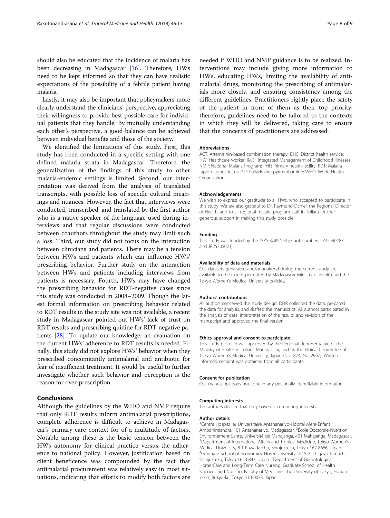should also be educated that the incidence of malaria has been decreasing in Madagascar [\[16\]](#page-8-0). Therefore, HWs need to be kept informed so that they can have realistic expectations of the possibility of a febrile patient having malaria.

Lastly, it may also be important that policymakers more clearly understand the clinicians' perspective, appreciating their willingness to provide best possible care for individual patients that they handle. By mutually understanding each other's perspective, a good balance can be achieved between individual benefits and those of the society.

We identified the limitations of this study. First, this study has been conducted in a specific setting with one defined malaria strata in Madagascar. Therefore, the generalization of the findings of this study to other malaria-endemic settings is limited. Second, our interpretation was derived from the analysis of translated transcripts, with possible loss of specific cultural meanings and nuances. However, the fact that interviews were conducted, transcribed, and translated by the first author who is a native speaker of the language used during interviews and that regular discussions were conducted between coauthors throughout the study may limit such a loss. Third, our study did not focus on the interaction between clinicians and patients. There may be a tension between HWs and patients which can influence HWs' prescribing behavior. Further study on the interaction between HWs and patients including interviews from patients is necessary. Fourth, HWs may have changed the prescribing behavior for RDT-negative cases since this study was conducted in 2008–2009. Though the latest formal information on prescribing behavior related to RDT results in the study site was not available, a recent study in Madagascar pointed out HWs' lack of trust on RDT results and prescribing quinine for RDT-negative patients [\[28\]](#page-8-0). To update our knowledge, an evaluation on the current HWs' adherence to RDT results is needed. Finally, this study did not explore HWs' behavior when they prescribed concomitantly antimalarial and antibiotic for fear of insufficient treatment. It would be useful to further investigate whether such behavior and perception is the reason for over-prescription.

# Conclusions

Although the guidelines by the WHO and NMP require that only RDT results inform antimalarial prescriptions, complete adherence is difficult to achieve in Madagascar's primary care context for of a multitude of factors. Notable among these is the basic tension between the HWs autonomy for clinical practice versus the adherence to national policy. However, justification based on client beneficence was compounded by the fact that antimalarial procurement was relatively easy in most situations, indicating that efforts to modify both factors are

needed if WHO and NMP guidance is to be realized. Interventions may include giving more information to HWs, educating HWs, limiting the availability of antimalarial drugs, monitoring the prescribing of antimalarials more closely, and ensuring consistency among the different guidelines. Practitioners rightly place the safety of the patient in front of them as their top priority; therefore, guidelines need to be tailored to the contexts in which they will be delivered, taking care to ensure that the concerns of practitioners are addressed.

#### Abbreviations

ACT: Artemisinin-based combination therapy; DHS: District health service; HW: Healthcare worker; IMCI: Integrated Management of Childhood Illnesses; NMP: National Malaria Program; PHF: Primary health facility; RDT: Malaria rapid diagnostic test; SP: Sulfadoxine-pyrimethamine; WHO: World Health **Organization** 

#### Acknowledgements

We wish to express our gratitude to all HWs, who accepted to participate in this study. We are also grateful to Dr. Raymond Daniel, the Regional Director of Health, and to all regional malaria program staff in Toliara for their generous support in making this study possible.

#### Funding

This study was funded by the JSPS KAKENHI (Grant numbers JP22590487 and JP25305023).

#### Availability of data and materials

Our datasets generated and/or analyzed during the current study are available to the extent permitted by Madagascar Ministry of Health and the Tokyo Women's Medical University policies.

#### Authors' contributions

All authors conceived the study design. DHR collected the data, prepared the data for analysis, and drafted the manuscript. All authors participated in the analysis of data, interpretation of the results, and revision of the manuscript and approved the final version.

#### Ethics approval and consent to participate

This study protocol was approved by the Regional Representative of the Ministry of Health in Toliara, Madagascar, and by the Ethical Committee of Tokyo Women's Medical University, Japan (No.1874; No. 2967). Written informed consent was obtained from all participants.

#### Consent for publication

Our manuscript does not contain any personally identifiable information.

#### Competing interests

The authors declare that they have no competing interests.

#### Author details

<sup>1</sup> Centre Hospitalier Universitaire Antananarivo-Hôpital Mère-Enfant Ambohimiandra, 101 Antananarivo, Madagascar. <sup>2</sup>École Doctorale-Nutrition Environnement Santé, Université de Mahajanga, 401 Mahajanga, Madagascar. <sup>3</sup>Department of International Affairs and Tropical Medicine, Tokyo Women's Medical University, 8-1 Kawada-cho, Shinjuku-ku, Tokyo 162-8666, Japan. 4 Graduate School of Economics, Hosei University, 2-15-2 Ichigaya Tamachi, Shinjuku-ku, Tokyo 162-0843, Japan. <sup>5</sup>Department of Gerontological Home-Care and Long-Term Care Nursing, Graduate School of Health Sciences and Nursing, Faculty of Medicine, The University of Tokyo, Hongo 7-3-1, Bukyo-ku, Tokyo 113-0033, Japan.